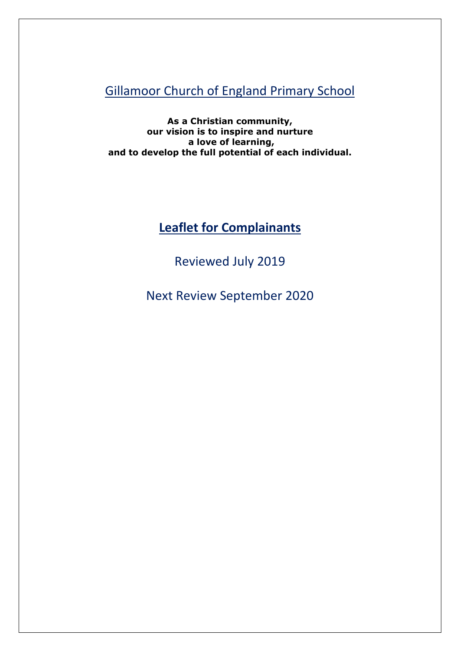Gillamoor Church of England Primary School

**As a Christian community, our vision is to inspire and nurture a love of learning, and to develop the full potential of each individual.**

# **Leaflet for Complainants**

Reviewed July 2019

Next Review September 2020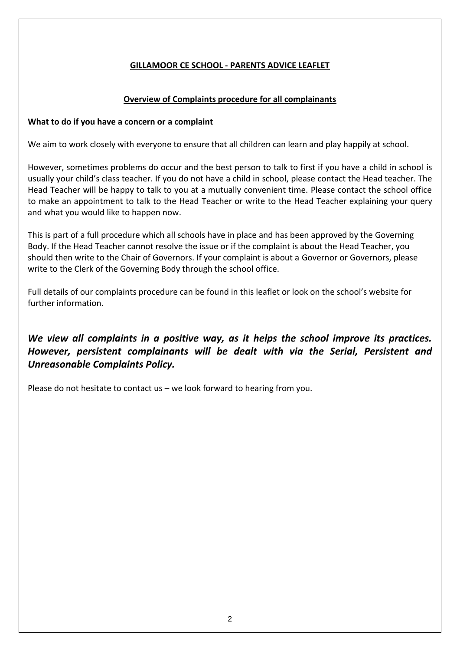## **GILLAMOOR CE SCHOOL - PARENTS ADVICE LEAFLET**

#### **Overview of Complaints procedure for all complainants**

#### **What to do if you have a concern or a complaint**

We aim to work closely with everyone to ensure that all children can learn and play happily at school.

However, sometimes problems do occur and the best person to talk to first if you have a child in school is usually your child's class teacher. If you do not have a child in school, please contact the Head teacher. The Head Teacher will be happy to talk to you at a mutually convenient time. Please contact the school office to make an appointment to talk to the Head Teacher or write to the Head Teacher explaining your query and what you would like to happen now.

This is part of a full procedure which all schools have in place and has been approved by the Governing Body. If the Head Teacher cannot resolve the issue or if the complaint is about the Head Teacher, you should then write to the Chair of Governors. If your complaint is about a Governor or Governors, please write to the Clerk of the Governing Body through the school office.

Full details of our complaints procedure can be found in this leaflet or look on the school's website for further information.

# *We view all complaints in a positive way, as it helps the school improve its practices. However, persistent complainants will be dealt with via the Serial, Persistent and Unreasonable Complaints Policy.*

Please do not hesitate to contact us – we look forward to hearing from you.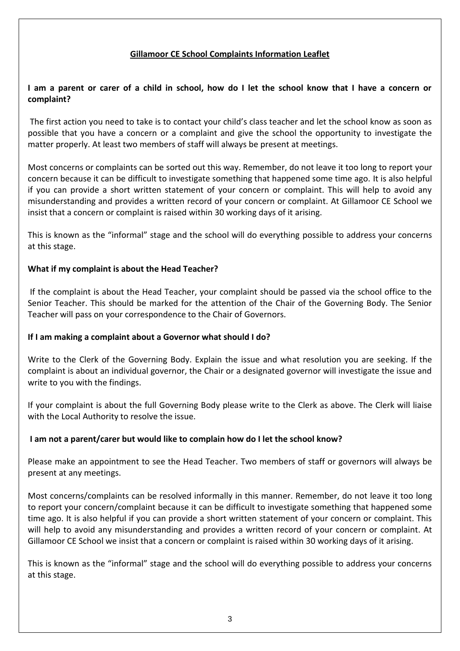#### **Gillamoor CE School Complaints Information Leaflet**

#### **I am a parent or carer of a child in school, how do I let the school know that I have a concern or complaint?**

The first action you need to take is to contact your child's class teacher and let the school know as soon as possible that you have a concern or a complaint and give the school the opportunity to investigate the matter properly. At least two members of staff will always be present at meetings.

Most concerns or complaints can be sorted out this way. Remember, do not leave it too long to report your concern because it can be difficult to investigate something that happened some time ago. It is also helpful if you can provide a short written statement of your concern or complaint. This will help to avoid any misunderstanding and provides a written record of your concern or complaint. At Gillamoor CE School we insist that a concern or complaint is raised within 30 working days of it arising.

This is known as the "informal" stage and the school will do everything possible to address your concerns at this stage.

#### **What if my complaint is about the Head Teacher?**

If the complaint is about the Head Teacher, your complaint should be passed via the school office to the Senior Teacher. This should be marked for the attention of the Chair of the Governing Body. The Senior Teacher will pass on your correspondence to the Chair of Governors.

#### **If I am making a complaint about a Governor what should I do?**

Write to the Clerk of the Governing Body. Explain the issue and what resolution you are seeking. If the complaint is about an individual governor, the Chair or a designated governor will investigate the issue and write to you with the findings.

If your complaint is about the full Governing Body please write to the Clerk as above. The Clerk will liaise with the Local Authority to resolve the issue.

#### **I am not a parent/carer but would like to complain how do I let the school know?**

Please make an appointment to see the Head Teacher. Two members of staff or governors will always be present at any meetings.

Most concerns/complaints can be resolved informally in this manner. Remember, do not leave it too long to report your concern/complaint because it can be difficult to investigate something that happened some time ago. It is also helpful if you can provide a short written statement of your concern or complaint. This will help to avoid any misunderstanding and provides a written record of your concern or complaint. At Gillamoor CE School we insist that a concern or complaint is raised within 30 working days of it arising.

This is known as the "informal" stage and the school will do everything possible to address your concerns at this stage.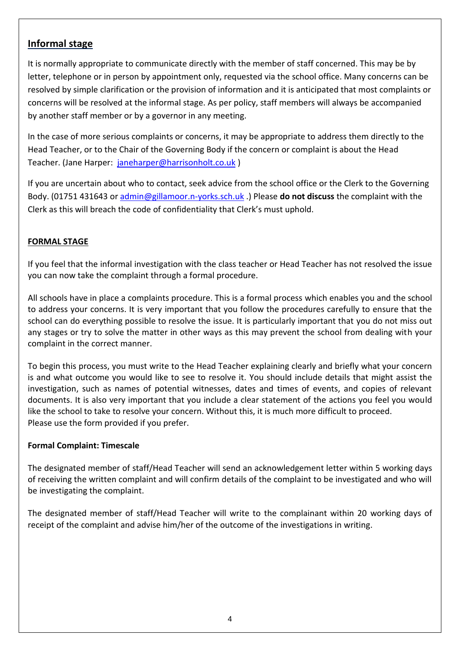# **Informal stage**

It is normally appropriate to communicate directly with the member of staff concerned. This may be by letter, telephone or in person by appointment only, requested via the school office. Many concerns can be resolved by simple clarification or the provision of information and it is anticipated that most complaints or concerns will be resolved at the informal stage. As per policy, staff members will always be accompanied by another staff member or by a governor in any meeting.

In the case of more serious complaints or concerns, it may be appropriate to address them directly to the Head Teacher, or to the Chair of the Governing Body if the concern or complaint is about the Head Teacher. (Jane Harper: [janeharper@harrisonholt.co.uk](mailto:janeharper@harrisonholt.co.uk) )

If you are uncertain about who to contact, seek advice from the school office or the Clerk to the Governing Body. (01751 431643 or [admin@gillamoor.n-yorks.sch.uk](mailto:admin@gillamoor.n-yorks.sch.uk) .) Please **do not discuss** the complaint with the Clerk as this will breach the code of confidentiality that Clerk's must uphold.

### **FORMAL STAGE**

If you feel that the informal investigation with the class teacher or Head Teacher has not resolved the issue you can now take the complaint through a formal procedure.

All schools have in place a complaints procedure. This is a formal process which enables you and the school to address your concerns. It is very important that you follow the procedures carefully to ensure that the school can do everything possible to resolve the issue. It is particularly important that you do not miss out any stages or try to solve the matter in other ways as this may prevent the school from dealing with your complaint in the correct manner.

To begin this process, you must write to the Head Teacher explaining clearly and briefly what your concern is and what outcome you would like to see to resolve it. You should include details that might assist the investigation, such as names of potential witnesses, dates and times of events, and copies of relevant documents. It is also very important that you include a clear statement of the actions you feel you would like the school to take to resolve your concern. Without this, it is much more difficult to proceed. Please use the form provided if you prefer.

#### **Formal Complaint: Timescale**

The designated member of staff/Head Teacher will send an acknowledgement letter within 5 working days of receiving the written complaint and will confirm details of the complaint to be investigated and who will be investigating the complaint.

The designated member of staff/Head Teacher will write to the complainant within 20 working days of receipt of the complaint and advise him/her of the outcome of the investigations in writing.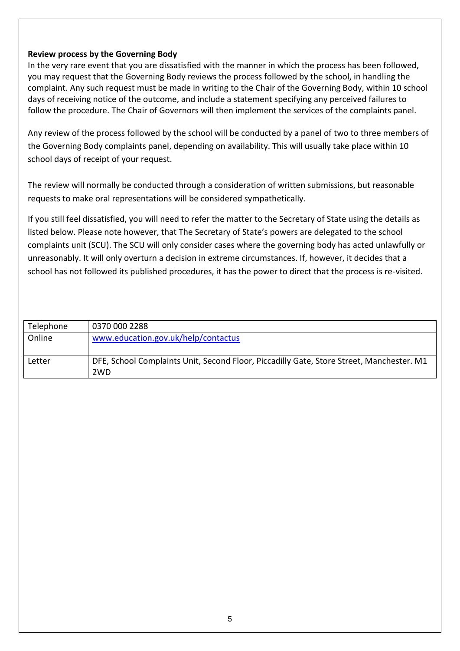#### **Review process by the Governing Body**

In the very rare event that you are dissatisfied with the manner in which the process has been followed, you may request that the Governing Body reviews the process followed by the school, in handling the complaint. Any such request must be made in writing to the Chair of the Governing Body, within 10 school days of receiving notice of the outcome, and include a statement specifying any perceived failures to follow the procedure. The Chair of Governors will then implement the services of the complaints panel.

Any review of the process followed by the school will be conducted by a panel of two to three members of the Governing Body complaints panel, depending on availability. This will usually take place within 10 school days of receipt of your request.

The review will normally be conducted through a consideration of written submissions, but reasonable requests to make oral representations will be considered sympathetically.

If you still feel dissatisfied, you will need to refer the matter to the Secretary of State using the details as listed below. Please note however, that The Secretary of State's powers are delegated to the school complaints unit (SCU). The SCU will only consider cases where the governing body has acted unlawfully or unreasonably. It will only overturn a decision in extreme circumstances. If, however, it decides that a school has not followed its published procedures, it has the power to direct that the process is re-visited.

| Telephone | 0370 000 2288                                                                                                |
|-----------|--------------------------------------------------------------------------------------------------------------|
| Online    | www.education.gov.uk/help/contactus                                                                          |
| Letter    | DFE, School Complaints Unit, Second Floor, Piccadilly Gate, Store Street, Manchester. M1<br>2 <sub>W</sub> D |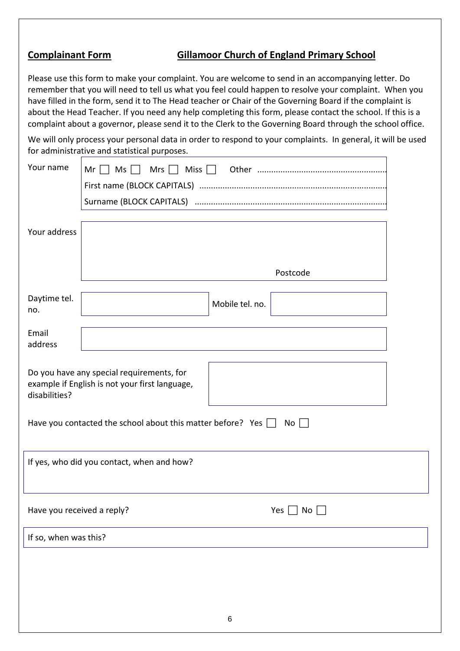# **Complainant Form Gillamoor Church of England Primary School**

Please use this form to make your complaint. You are welcome to send in an accompanying letter. Do remember that you will need to tell us what you feel could happen to resolve your complaint. When you have filled in the form, send it to The Head teacher or Chair of the Governing Board if the complaint is about the Head Teacher. If you need any help completing this form, please contact the school. If this is a complaint about a governor, please send it to the Clerk to the Governing Board through the school office.

We will only process your personal data in order to respond to your complaints. In general, it will be used for administrative and statistical purposes.

| Your name                                                                                   | $Mr \Box Ms \Box$                          |                 |                      |  |  |
|---------------------------------------------------------------------------------------------|--------------------------------------------|-----------------|----------------------|--|--|
|                                                                                             |                                            |                 |                      |  |  |
|                                                                                             |                                            |                 |                      |  |  |
|                                                                                             |                                            |                 |                      |  |  |
| Your address                                                                                |                                            |                 |                      |  |  |
|                                                                                             |                                            |                 |                      |  |  |
|                                                                                             | Postcode                                   |                 |                      |  |  |
| Daytime tel.                                                                                |                                            |                 |                      |  |  |
| no.                                                                                         |                                            | Mobile tel. no. |                      |  |  |
| Email                                                                                       |                                            |                 |                      |  |  |
| address                                                                                     |                                            |                 |                      |  |  |
|                                                                                             |                                            |                 |                      |  |  |
| Do you have any special requirements, for<br>example if English is not your first language, |                                            |                 |                      |  |  |
| disabilities?                                                                               |                                            |                 |                      |  |  |
| Have you contacted the school about this matter before? Yes $\Box$<br>$No$                  |                                            |                 |                      |  |  |
|                                                                                             |                                            |                 |                      |  |  |
|                                                                                             | If yes, who did you contact, when and how? |                 |                      |  |  |
|                                                                                             |                                            |                 |                      |  |  |
|                                                                                             |                                            |                 |                      |  |  |
|                                                                                             | Have you received a reply?                 |                 | Yes  <br>$No \ \Box$ |  |  |
|                                                                                             |                                            |                 |                      |  |  |
| If so, when was this?                                                                       |                                            |                 |                      |  |  |
|                                                                                             |                                            |                 |                      |  |  |
|                                                                                             |                                            |                 |                      |  |  |
|                                                                                             |                                            |                 |                      |  |  |
|                                                                                             |                                            |                 |                      |  |  |